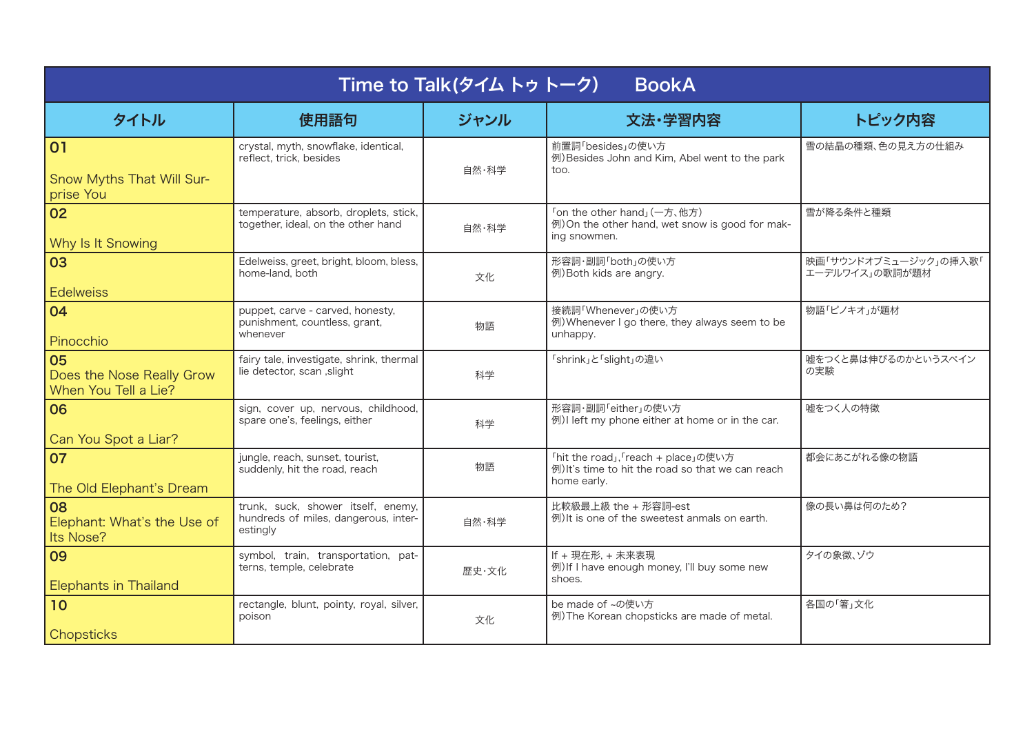| Time to Talk(タイムトゥトーク)<br><b>BookA</b>                  |                                                                                        |       |                                                                                                         |                                         |  |  |  |  |
|---------------------------------------------------------|----------------------------------------------------------------------------------------|-------|---------------------------------------------------------------------------------------------------------|-----------------------------------------|--|--|--|--|
| タイトル                                                    | 使用語句                                                                                   | ジャンル  | 文法·学習内容                                                                                                 | トピック内容                                  |  |  |  |  |
| 01<br>Snow Myths That Will Sur-<br>prise You            | crystal, myth, snowflake, identical,<br>reflect, trick, besides                        | 自然・科学 | 前置詞「besides」の使い方<br>例) Besides John and Kim, Abel went to the park<br>too.                              | 雪の結晶の種類、色の見え方の仕組み                       |  |  |  |  |
| 02<br>Why Is It Snowing                                 | temperature, absorb, droplets, stick,<br>together, ideal, on the other hand            | 自然・科学 | 「on the other hand」(一方、他方)<br>例) On the other hand, wet snow is good for mak-<br>ing snowmen.           | 雪が降る条件と種類                               |  |  |  |  |
| 03<br><b>Edelweiss</b>                                  | Edelweiss, greet, bright, bloom, bless,<br>home-land, both                             | 文化    | 形容詞・副詞「both」の使い方<br>例) Both kids are angry.                                                             | 映画「サウンドオブミュージック」の挿入歌「<br>エーデルワイス」の歌詞が題材 |  |  |  |  |
| 04<br>Pinocchio                                         | puppet, carve - carved, honesty,<br>punishment, countless, grant,<br>whenever          | 物語    | 接続詞「Whenever」の使い方<br>例) Whenever I go there, they always seem to be<br>unhappy.                         | 物語「ピノキオ」が題材                             |  |  |  |  |
| 05<br>Does the Nose Really Grow<br>When You Tell a Lie? | fairy tale, investigate, shrink, thermal<br>lie detector, scan , slight                | 科学    | 「shrink」と「slight」の違い                                                                                    | 嘘をつくと鼻は伸びるのかというスペイン<br>の実験              |  |  |  |  |
| 06<br>Can You Spot a Liar?                              | sign, cover up, nervous, childhood,<br>spare one's, feelings, either                   | 科学    | 形容詞・副詞「either」の使い方<br>例)I left my phone either at home or in the car.                                   | 嘘をつく人の特徴                                |  |  |  |  |
| 07<br>The Old Elephant's Dream                          | jungle, reach, sunset, tourist,<br>suddenly, hit the road, reach                       | 物語    | 「hit the road」, 「reach + place」の使い方<br>例) It's time to hit the road so that we can reach<br>home early. | 都会にあこがれる像の物語                            |  |  |  |  |
| 08<br>Elephant: What's the Use of<br>Its Nose?          | trunk, suck, shower itself, enemy,<br>hundreds of miles, dangerous, inter-<br>estingly | 自然・科学 | 比較級最上級 the + 形容詞-est<br>例) It is one of the sweetest anmals on earth.                                   | 像の長い鼻は何のため?                             |  |  |  |  |
| 09<br><b>Elephants in Thailand</b>                      | symbol, train, transportation, pat-<br>terns, temple, celebrate                        | 歴史·文化 | If + 現在形, + 未来表現<br>例) If I have enough money, I'll buy some new<br>shoes.                              | タイの象徴、ゾウ                                |  |  |  |  |
| 10<br>Chopsticks                                        | rectangle, blunt, pointy, royal, silver,<br>poison                                     | 文化    | be made of ~の使い方<br>例) The Korean chopsticks are made of metal.                                         | 各国の「箸」文化                                |  |  |  |  |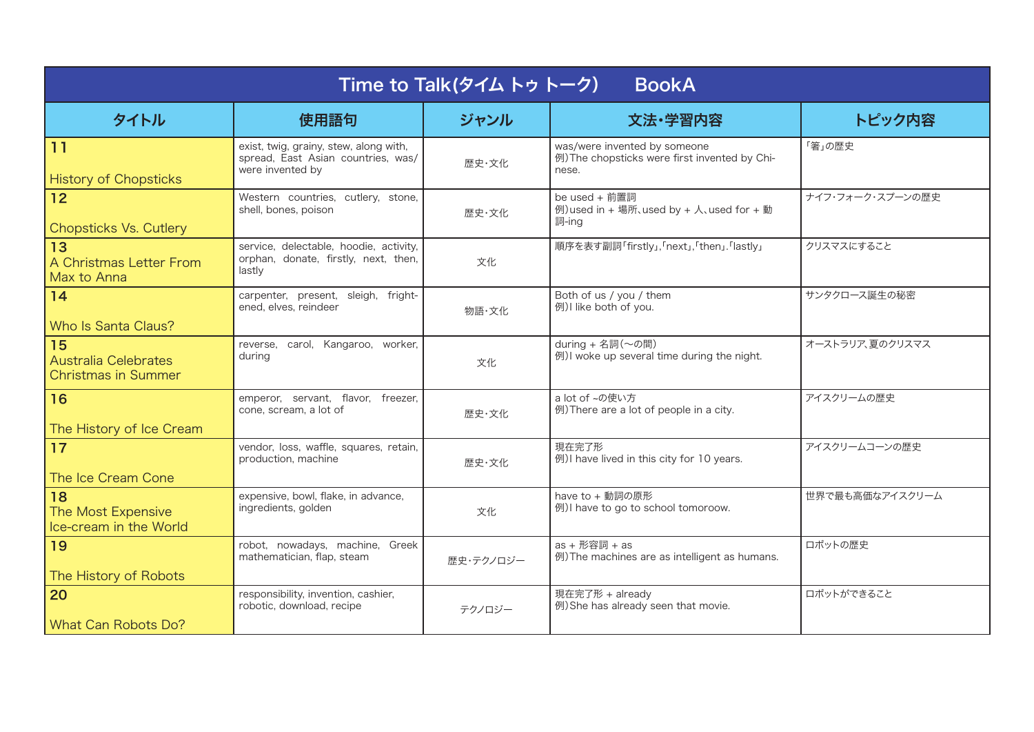| Time to Talk(タイムトゥトーク)<br><b>BookA</b>                   |                                                                                                  |           |                                                                                        |                  |  |  |  |
|----------------------------------------------------------|--------------------------------------------------------------------------------------------------|-----------|----------------------------------------------------------------------------------------|------------------|--|--|--|
| タイトル                                                     | 使用語句                                                                                             | ジャンル      | 文法·学習内容                                                                                | トピック内容           |  |  |  |
| 11<br><b>History of Chopsticks</b>                       | exist, twig, grainy, stew, along with,<br>spread, East Asian countries, was/<br>were invented by | 歴史・文化     | was/were invented by someone<br>例) The chopsticks were first invented by Chi-<br>nese. | 「箸」の歴史           |  |  |  |
| 12<br><b>Chopsticks Vs. Cutlery</b>                      | Western countries, cutlery, stone,<br>shell, bones, poison                                       | 歴史・文化     | be used + 前置詞<br>例) used in + 場所、used by + 人、used for + 動<br>詞-ing                     | ナイフ・フォーク・スプーンの歴史 |  |  |  |
| 13<br>A Christmas Letter From<br>Max to Anna             | service, delectable, hoodie, activity,<br>orphan, donate, firstly, next, then,<br>lastly         | 文化        | 順序を表す副詞「firstly」,「next」,「then」.「lastly」                                                | クリスマスにすること       |  |  |  |
| 14<br>Who Is Santa Claus?                                | carpenter, present, sleigh, fright-<br>ened, elves, reindeer                                     | 物語·文化     | Both of us / you / them<br>例) I like both of you.                                      | サンタクロース誕生の秘密     |  |  |  |
| 15<br>Australia Celebrates<br><b>Christmas in Summer</b> | reverse, carol, Kangaroo, worker,<br>during                                                      | 文化        | during + 名詞(~の間)<br>例) I woke up several time during the night.                        | オーストラリア、夏のクリスマス  |  |  |  |
| 16<br>The History of Ice Cream                           | emperor, servant, flavor, freezer,<br>cone, scream, a lot of                                     | 歴史・文化     | a lot of ~の使い方<br>例) There are a lot of people in a city.                              | アイスクリームの歴史       |  |  |  |
| 17<br>The Ice Cream Cone                                 | vendor, loss, waffle, squares, retain,<br>production, machine                                    | 歴史・文化     | 現在完了形<br>例) I have lived in this city for 10 years.                                    | アイスクリームコーンの歴史    |  |  |  |
| 18<br>The Most Expensive<br>Ice-cream in the World       | expensive, bowl, flake, in advance,<br>ingredients, golden                                       | 文化        | have to + 動詞の原形<br>例) I have to go to school tomoroow.                                 | 世界で最も高価なアイスクリーム  |  |  |  |
| 19<br>The History of Robots                              | robot, nowadays, machine, Greek<br>mathematician, flap, steam                                    | 歴史・テクノロジー | as + 形容詞 + as<br>例) The machines are as intelligent as humans.                         | ロボットの歴史          |  |  |  |
| 20<br>What Can Robots Do?                                | responsibility, invention, cashier,<br>robotic, download, recipe                                 | テクノロジー    | 現在完了形 + already<br>例) She has already seen that movie.                                 | ロボットができること       |  |  |  |